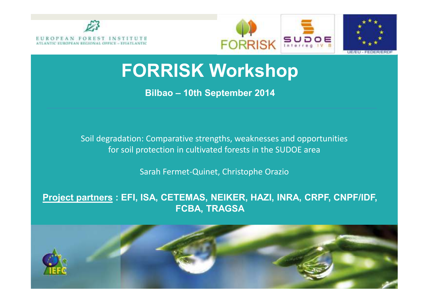





### **FORRISK Workshop**

**Bilbao – 10th September <sup>2014</sup>**

Soil degradation: Comparative strengths, weaknesses and opportunities for soil protection in cultivated forests in the SUDOE area

Sarah Fermet-Quinet, Christophe Orazio

#### **Project partners : EFI, ISA, CETEMAS, NEIKER, HAZI, INRA, CRPF, CNPF/IDF, FCBA, TRAGSA**

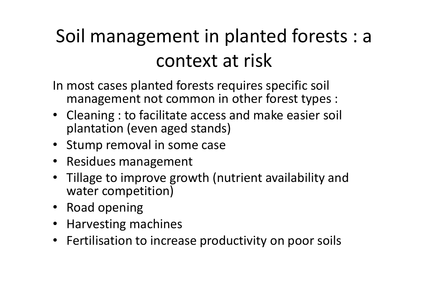## Soil management in planted forests : a context at risk

In most cases planted forests requires specific soil management not common in other forest types :

- Cleaning : to facilitate access and make easier soil plantation (even aged stands)
- Stump removal in some case
- Residues management
- Tillage to improve growth (nutrient availability and water competition)
- Road opening
- Harvesting machines
- Fertilisation to increase productivity on poor soils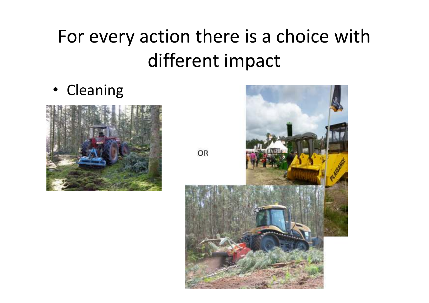## For every action there is a choice withdifferent impact

• Cleaning





OR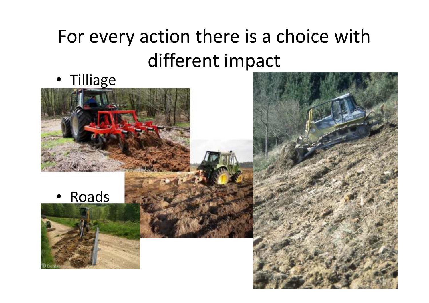## For every action there is a choice withdifferent impact

• Tilliage



•Roads



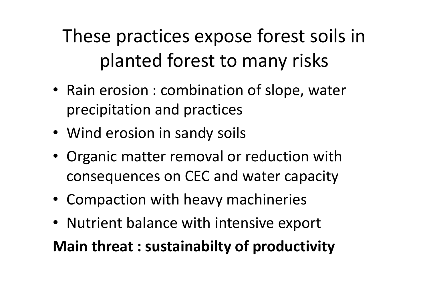These practices expose forest soils in planted forest to many risks

- Rain erosion : combination of slope, water precipitation and practices
- Wind erosion in sandy soils
- Organic matter removal or reduction with consequences on CEC and water capacity
- Compaction with heavy machineries
- Nutrient balance with intensive export

**Main threat : sustainabilty of productivity**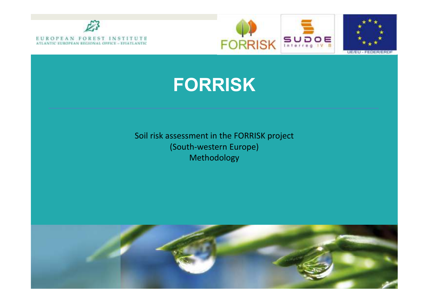





### **FORRISK**

Soil risk assessment in the FORRISK project(South-western Europe)Methodology

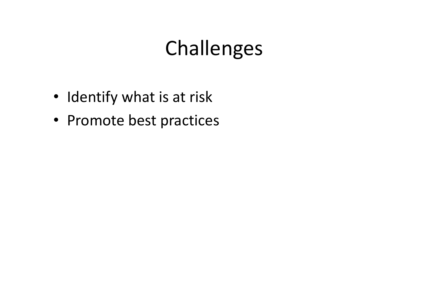# Challenges

- Identify what is at risk
- Promote best practices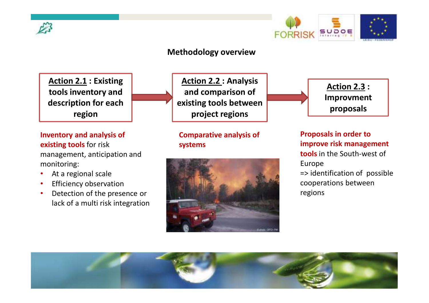



#### **Methodology overview**



**Inventory and analysis of** 

At a regional scale

Efficiency observation

 Detection of the presence or lack of a multi risk integration

management, anticipation and

**existing tools** for risk

monitoring:

•

•

•

**Action 2.2 : Analysisand comparison of existing tools betweenproject regions**

**Comparative analysis of systems**





**Proposals in order to improve risk management tools** in the South-west of Europe => identification of possible cooperations betweenregions

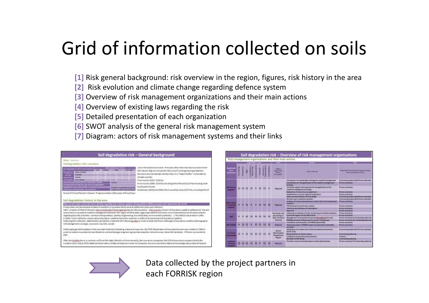## Grid of information collected on soils

- **[1]** Risk general background: risk overview in the region, figures, risk history in the area
- **[2]** Risk evolution and climate change regarding defence system
- **[3]** Overview of risk management organizations and their main actions
- **[4]** Overview of existing laws regarding the risk
- **[5]** Detailed presentation of each organization
- **[6]** SWOT analysis of the general risk management system
- **[7]** Diagram: actors of risk management systems and their links

| Soil degradation risk - General background                                                                                                                                                                                                                                                                                                                                                                                                                                                                                                                                                                                                   |            |              |  |   |                                                                                                                                                                                                                                                                                                            | Soil degradation risk - Overview of risk management organisations                                                                                                                                                                                                                                                                                               |                                                                                                                                                                                                                               |
|----------------------------------------------------------------------------------------------------------------------------------------------------------------------------------------------------------------------------------------------------------------------------------------------------------------------------------------------------------------------------------------------------------------------------------------------------------------------------------------------------------------------------------------------------------------------------------------------------------------------------------------------|------------|--------------|--|---|------------------------------------------------------------------------------------------------------------------------------------------------------------------------------------------------------------------------------------------------------------------------------------------------------------|-----------------------------------------------------------------------------------------------------------------------------------------------------------------------------------------------------------------------------------------------------------------------------------------------------------------------------------------------------------------|-------------------------------------------------------------------------------------------------------------------------------------------------------------------------------------------------------------------------------|
| <b>Area</b> <i>Eastern</i><br>toll degradation risk's convenient                                                                                                                                                                                                                                                                                                                                                                                                                                                                                                                                                                             |            |              |  |   |                                                                                                                                                                                                                                                                                                            | Rich management organisations and their main actions                                                                                                                                                                                                                                                                                                            |                                                                                                                                                                                                                               |
| Last inforest due to tradition Prevision of territory location to a region from<br><b>Education continues are</b><br>full Littleral (figurecociude testitory lossificiul engineering protecturi-<br><b>REALD HAND</b><br>plead to not with the chain fact special colonial and the "harderd builder" as internative for<br><b>HENT</b><br><b>JROMEO AVAILED</b><br><b><i><u>STARTER</u></i></b>                                                                                                                                                                                                                                              | ودعهها<br> |              |  |   | <b>The Contract of Contract of Contract of Contract of Contract of Contract of Contract of Contract of Contract of Contract of Contract of Contract of Contract of Contract of Contract of Contract of Contract of Contract of C</b><br><b><i><u>Department</u></i></b><br><b>Parent</b><br><b>MARINER</b> | <b><i><u>PARADORE</u></i></b>                                                                                                                                                                                                                                                                                                                                   | <b>The American Profit and Construction</b><br><b><i>STAND ARRANGEMENT SURFACE</i></b>                                                                                                                                        |
| ---<br><b>FOR CARD RX</b><br>Free society 3035, 1558 kg.<br>Han all that you'r whereal line rook is his<br><b>STATISTICS</b><br>Frameworks 2040 2218 hamilialing kt/s afforest 11217 to including 1134<br>maga kakang perteranjuan adar dali ke adi lang untuk<br>Insert public Assembl<br>captualist creat makes beautiful mention of processes on a<br><b>Thinking for painting for</b><br><b>IN LES THIS REPORT TO FRIED ST.</b><br>holdstream (2010 and 2010) there requisibe a just of a 77% at total registra of<br>Listen on and with Freeman<br>Remote (ET) has offered to 20 percent this agencies which a 1 direct of November and |            |              |  |   | <b>Badana</b>                                                                                                                                                                                                                                                                                              | Communities of a subdivision on anyly fire insurance management<br>Constitution of the application of statuted business many<br>Tentals at located the of a searcher for changed catteried your<br>paid from management of at strenge<br>paintenance of furthis in the Lanese<br>of attrainment of sales regional corporation<br>and Military) of Institute Act | <b>Textile king subterlie &amp; Plima contracts</b><br><b>Britished classifications</b><br><b>Boone seconds</b><br><b>Pirman backing to</b><br><b>Rome politician</b><br><b>Scientist Roll with Call &amp; Promptown wind</b> |
| hail expadation history in the area<br>but and the security expect that the Books are provided footed defining against the third and a manual completed the problem and one of the second<br>Presencial topic and development states of countries in Adultates led to or year al settlement plans and reflexion<br>1967; Charlon of MACA Selezion Images interpretational Anders process that City Assistance International Macademy constitute and select 1. The arm                                                                                                                                                                        |            |              |  |   |                                                                                                                                                                                                                                                                                                            | Management stations provided<br>Motivate of tenutial planned a security detail field stills having as<br>14.44.001<br><b>In Analysis and Motors course</b><br><b>USEAU COLUMN WT BOARD OF SUBJECTIVE</b>                                                                                                                                                        | Educatorian Automobile & Eleven countries and<br><b>Relative Controlling Day</b><br><b>Prima contracts</b><br><b>Writing better as but</b><br><b>Brime Lune as Inc.</b>                                                       |
| sate to have a considert condition real agents of between the region and that state regarding coastline as enough, ansiousneedal and satisficables (mainly<br>regarding boorsels activities, common transportation, seettery engineering, load of tachiev, environment or shedays I The MMCA was ensigment UNC.<br>M 2000 is seen reflection stream about Abultaine condition led to the nedection is 2000 plan measures to a hourtene coordinal<br>Publicates Hits reflection, Matcheskiev, detailed buckete Ran GP1. Norwi Augustus et and at the deal with the Authority and Japanese countine interespective                             |            | $\mathbf{H}$ |  | . | <b>Grandfile</b><br><b>Build Santrady</b><br><b>Making</b>                                                                                                                                                                                                                                                 | Tollowing of technical lot the insular machineral los with a work of<br><b>BATRAIN OF INSIGNAL F THE TITLE WHO STERLES</b><br>Management of pictures of twen and duranting the real<br>While a this short wat out of the customer if we wanted a top of good about<br>Incipalization shall promotive at FACAAN charact EST.                                     | <b>Bridge London Ave</b><br><b>Bronz Luthman</b><br>Protes assistantly is increasing without<br>Writing booms a trick it consuming warranty<br>Prime pyrametre                                                                |
| rick traingstment acclept, accremin buridit, bicidil.                                                                                                                                                                                                                                                                                                                                                                                                                                                                                                                                                                                        |            |              |  |   | <b>Separat</b>                                                                                                                                                                                                                                                                                             | Shareve and share of FORDER's Advertising expendition land as allow                                                                                                                                                                                                                                                                                             | <b>Britanni pipeling Aut</b>                                                                                                                                                                                                  |
| Pollecomplange Erforestation in the requestative and linking manage encourage, the STM Obstantino of equivales beyond the content of 1988 in<br>poller to reclair a mountain territor (Blanks to sind and todayp) engineering) positive their piccol existent, daily fall, failureless, ITM are contracted to<br>12/67                                                                                                                                                                                                                                                                                                                       |            |              |  |   | <b>Birmed</b>                                                                                                                                                                                                                                                                                              | <b>Edite producer sur dynamics in all in A Apriliansal collections discussions</b><br><b>GARD TEST</b><br><b>Rollando District Contract Contracts</b><br>terebra for pre-seres and protection<br><b>Manager AFTER TAXABLE</b>                                                                                                                                   | Lawrence and position is & France contractor<br><b>EXHIBITING Ballburgs</b><br><b>Pindeter Ad</b><br><b><i>Stanfood Food authority</i></b>                                                                                    |
| After the Symbop stares, a common will from the claim (Mundo) of those assessed), the municipal companies (the CDS (removables existing any) brilliother<br>Interested Editori-Stock af the Netional Observations of Securiti Reservoirs profer to riversalise, structure end share determinist societate also in result has entirely                                                                                                                                                                                                                                                                                                        |            | 000          |  |   |                                                                                                                                                                                                                                                                                                            | Percentakan menjadarkan dan kalendaran dan kalam gekalimpungan per                                                                                                                                                                                                                                                                                              | <b>Bink telesced &amp; Linearing patients</b>                                                                                                                                                                                 |

Data collected by the project partners in each FORRISK region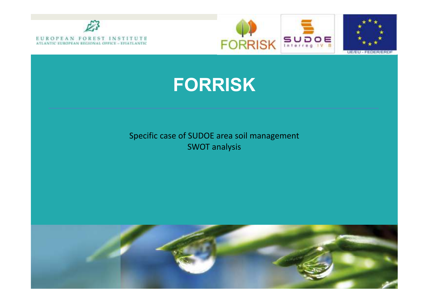







Specific case of SUDOE area soil managementSWOT analysis

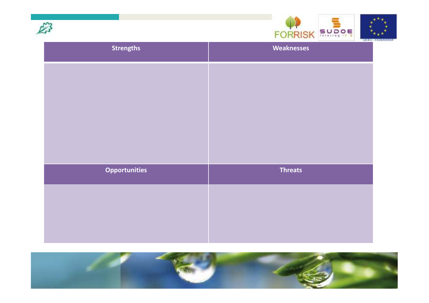



| <b>Strengths</b>     | And would be the first of<br><b>Weaknesses</b> |
|----------------------|------------------------------------------------|
|                      |                                                |
|                      |                                                |
|                      |                                                |
|                      |                                                |
|                      |                                                |
| <b>Opportunities</b> | <b>Threats</b>                                 |
|                      |                                                |
|                      |                                                |
|                      |                                                |

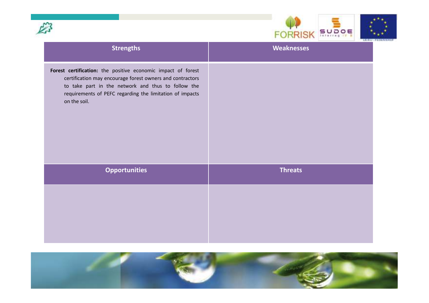



|                                                                                                                                                                                                                                                             | Parties - FEBF6   |
|-------------------------------------------------------------------------------------------------------------------------------------------------------------------------------------------------------------------------------------------------------------|-------------------|
| <b>Strengths</b>                                                                                                                                                                                                                                            | <b>Weaknesses</b> |
| Forest certification: the positive economic impact of forest<br>certification may encourage forest owners and contractors<br>to take part in the network and thus to follow the<br>requirements of PEFC regarding the limitation of impacts<br>on the soil. |                   |
| <b>Opportunities</b>                                                                                                                                                                                                                                        | <b>Threats</b>    |
|                                                                                                                                                                                                                                                             |                   |

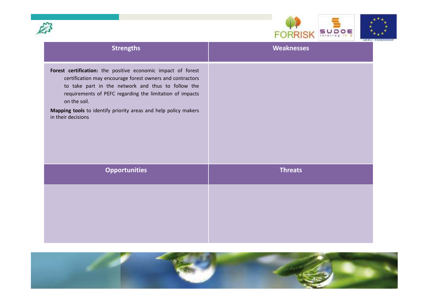



|                                                                                                                                                                                                                                                                                                                                                      | <b>Laurel - FELMI</b> |
|------------------------------------------------------------------------------------------------------------------------------------------------------------------------------------------------------------------------------------------------------------------------------------------------------------------------------------------------------|-----------------------|
| <b>Strengths</b>                                                                                                                                                                                                                                                                                                                                     | <b>Weaknesses</b>     |
| Forest certification: the positive economic impact of forest<br>certification may encourage forest owners and contractors<br>to take part in the network and thus to follow the<br>requirements of PEFC regarding the limitation of impacts<br>on the soil.<br>Mapping tools to identify priority areas and help policy makers<br>in their decisions |                       |
| <b>Opportunities</b>                                                                                                                                                                                                                                                                                                                                 | <b>Threats</b>        |
|                                                                                                                                                                                                                                                                                                                                                      |                       |

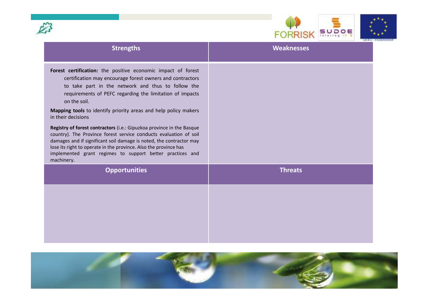



| <b>Strengths</b>                                                                                                                                                                                                                                                                                                                                                                                                                                                                                                                                                                                                                                                                                           | <b>Weaknesses</b> |
|------------------------------------------------------------------------------------------------------------------------------------------------------------------------------------------------------------------------------------------------------------------------------------------------------------------------------------------------------------------------------------------------------------------------------------------------------------------------------------------------------------------------------------------------------------------------------------------------------------------------------------------------------------------------------------------------------------|-------------------|
| Forest certification: the positive economic impact of forest<br>certification may encourage forest owners and contractors<br>to take part in the network and thus to follow the<br>requirements of PEFC regarding the limitation of impacts<br>on the soil.<br>Mapping tools to identify priority areas and help policy makers<br>in their decisions<br>Registry of forest contractors (i.e.: Gipuzkoa province in the Basque<br>country). The Province forest service conducts evaluation of soil<br>damages and if significant soil damage is noted, the contractor may<br>lose its right to operate in the province. Also the province has<br>implemented grant regimes to support better practices and |                   |
| machinery.<br><b>Opportunities</b>                                                                                                                                                                                                                                                                                                                                                                                                                                                                                                                                                                                                                                                                         | <b>Threats</b>    |
|                                                                                                                                                                                                                                                                                                                                                                                                                                                                                                                                                                                                                                                                                                            |                   |
|                                                                                                                                                                                                                                                                                                                                                                                                                                                                                                                                                                                                                                                                                                            |                   |
|                                                                                                                                                                                                                                                                                                                                                                                                                                                                                                                                                                                                                                                                                                            |                   |
|                                                                                                                                                                                                                                                                                                                                                                                                                                                                                                                                                                                                                                                                                                            |                   |

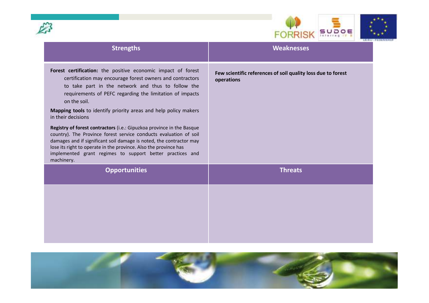



| <b>Strengths</b>                                                                                                                                                                                                                                                                                                                                                                                                                                                                                                                                                                                                                                                                                                         | <b>Weaknesses</b>                                                          |
|--------------------------------------------------------------------------------------------------------------------------------------------------------------------------------------------------------------------------------------------------------------------------------------------------------------------------------------------------------------------------------------------------------------------------------------------------------------------------------------------------------------------------------------------------------------------------------------------------------------------------------------------------------------------------------------------------------------------------|----------------------------------------------------------------------------|
| Forest certification: the positive economic impact of forest<br>certification may encourage forest owners and contractors<br>to take part in the network and thus to follow the<br>requirements of PEFC regarding the limitation of impacts<br>on the soil.<br>Mapping tools to identify priority areas and help policy makers<br>in their decisions<br>Registry of forest contractors (i.e.: Gipuzkoa province in the Basque<br>country). The Province forest service conducts evaluation of soil<br>damages and if significant soil damage is noted, the contractor may<br>lose its right to operate in the province. Also the province has<br>implemented grant regimes to support better practices and<br>machinery. | Few scientific references of soil quality loss due to forest<br>operations |
| <b>Opportunities</b>                                                                                                                                                                                                                                                                                                                                                                                                                                                                                                                                                                                                                                                                                                     | <b>Threats</b>                                                             |
|                                                                                                                                                                                                                                                                                                                                                                                                                                                                                                                                                                                                                                                                                                                          |                                                                            |

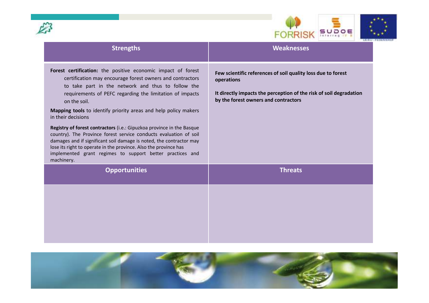



| <b>Strengths</b>                                                                                                                                                                                                                                                                                                                                                                                                                                                                                                                                                                                                                                                                                                         | <b>Weaknesses</b>                                                                                                                                                                        |
|--------------------------------------------------------------------------------------------------------------------------------------------------------------------------------------------------------------------------------------------------------------------------------------------------------------------------------------------------------------------------------------------------------------------------------------------------------------------------------------------------------------------------------------------------------------------------------------------------------------------------------------------------------------------------------------------------------------------------|------------------------------------------------------------------------------------------------------------------------------------------------------------------------------------------|
| Forest certification: the positive economic impact of forest<br>certification may encourage forest owners and contractors<br>to take part in the network and thus to follow the<br>requirements of PEFC regarding the limitation of impacts<br>on the soil.<br>Mapping tools to identify priority areas and help policy makers<br>in their decisions<br>Registry of forest contractors (i.e.: Gipuzkoa province in the Basque<br>country). The Province forest service conducts evaluation of soil<br>damages and if significant soil damage is noted, the contractor may<br>lose its right to operate in the province. Also the province has<br>implemented grant regimes to support better practices and<br>machinery. | Few scientific references of soil quality loss due to forest<br>operations<br>It directly impacts the perception of the risk of soil degradation<br>by the forest owners and contractors |
| <b>Opportunities</b>                                                                                                                                                                                                                                                                                                                                                                                                                                                                                                                                                                                                                                                                                                     | <b>Threats</b>                                                                                                                                                                           |
|                                                                                                                                                                                                                                                                                                                                                                                                                                                                                                                                                                                                                                                                                                                          |                                                                                                                                                                                          |

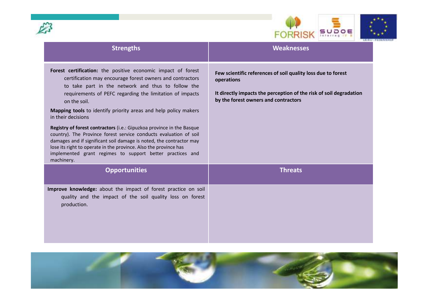



| <b>Strengths</b>                                                                                                                                                                                                                                                                                                                                                                                                                                                                                                                                                                                                                                                                                                         | <b>Weaknesses</b>                                                                                                                                                                        |
|--------------------------------------------------------------------------------------------------------------------------------------------------------------------------------------------------------------------------------------------------------------------------------------------------------------------------------------------------------------------------------------------------------------------------------------------------------------------------------------------------------------------------------------------------------------------------------------------------------------------------------------------------------------------------------------------------------------------------|------------------------------------------------------------------------------------------------------------------------------------------------------------------------------------------|
| Forest certification: the positive economic impact of forest<br>certification may encourage forest owners and contractors<br>to take part in the network and thus to follow the<br>requirements of PEFC regarding the limitation of impacts<br>on the soil.<br>Mapping tools to identify priority areas and help policy makers<br>in their decisions<br>Registry of forest contractors (i.e.: Gipuzkoa province in the Basque<br>country). The Province forest service conducts evaluation of soil<br>damages and if significant soil damage is noted, the contractor may<br>lose its right to operate in the province. Also the province has<br>implemented grant regimes to support better practices and<br>machinery. | Few scientific references of soil quality loss due to forest<br>operations<br>It directly impacts the perception of the risk of soil degradation<br>by the forest owners and contractors |
| <b>Opportunities</b>                                                                                                                                                                                                                                                                                                                                                                                                                                                                                                                                                                                                                                                                                                     | <b>Threats</b>                                                                                                                                                                           |
| Improve knowledge: about the impact of forest practice on soil<br>quality and the impact of the soil quality loss on forest<br>production.                                                                                                                                                                                                                                                                                                                                                                                                                                                                                                                                                                               |                                                                                                                                                                                          |

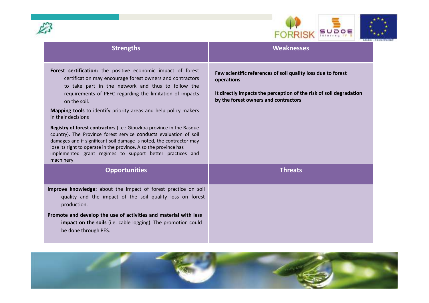



| <b>Strengths</b>                                                                                                                                                                                                                                                                                                                                                                                                                                                                                                                                                                                                                                                                                                         | <b>Weaknesses</b>                                                                                                                                                                        |
|--------------------------------------------------------------------------------------------------------------------------------------------------------------------------------------------------------------------------------------------------------------------------------------------------------------------------------------------------------------------------------------------------------------------------------------------------------------------------------------------------------------------------------------------------------------------------------------------------------------------------------------------------------------------------------------------------------------------------|------------------------------------------------------------------------------------------------------------------------------------------------------------------------------------------|
| Forest certification: the positive economic impact of forest<br>certification may encourage forest owners and contractors<br>to take part in the network and thus to follow the<br>requirements of PEFC regarding the limitation of impacts<br>on the soil.<br>Mapping tools to identify priority areas and help policy makers<br>in their decisions<br>Registry of forest contractors (i.e.: Gipuzkoa province in the Basque<br>country). The Province forest service conducts evaluation of soil<br>damages and if significant soil damage is noted, the contractor may<br>lose its right to operate in the province. Also the province has<br>implemented grant regimes to support better practices and<br>machinery. | Few scientific references of soil quality loss due to forest<br>operations<br>It directly impacts the perception of the risk of soil degradation<br>by the forest owners and contractors |
| <b>Opportunities</b>                                                                                                                                                                                                                                                                                                                                                                                                                                                                                                                                                                                                                                                                                                     | <b>Threats</b>                                                                                                                                                                           |
| Improve knowledge: about the impact of forest practice on soil<br>quality and the impact of the soil quality loss on forest<br>production.<br>Promote and develop the use of activities and material with less<br>impact on the soils (i.e. cable logging). The promotion could<br>be done through PES.                                                                                                                                                                                                                                                                                                                                                                                                                  |                                                                                                                                                                                          |

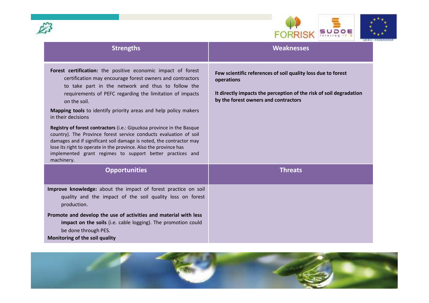



| <b>Strengths</b>                                                                                                                                                                                                                                                                                                                                                                                                                                                                                                                                                                                                                                                                                                         | <b>Weaknesses</b>                                                                                                                                                                        |
|--------------------------------------------------------------------------------------------------------------------------------------------------------------------------------------------------------------------------------------------------------------------------------------------------------------------------------------------------------------------------------------------------------------------------------------------------------------------------------------------------------------------------------------------------------------------------------------------------------------------------------------------------------------------------------------------------------------------------|------------------------------------------------------------------------------------------------------------------------------------------------------------------------------------------|
| Forest certification: the positive economic impact of forest<br>certification may encourage forest owners and contractors<br>to take part in the network and thus to follow the<br>requirements of PEFC regarding the limitation of impacts<br>on the soil.<br>Mapping tools to identify priority areas and help policy makers<br>in their decisions<br>Registry of forest contractors (i.e.: Gipuzkoa province in the Basque<br>country). The Province forest service conducts evaluation of soil<br>damages and if significant soil damage is noted, the contractor may<br>lose its right to operate in the province. Also the province has<br>implemented grant regimes to support better practices and<br>machinery. | Few scientific references of soil quality loss due to forest<br>operations<br>It directly impacts the perception of the risk of soil degradation<br>by the forest owners and contractors |
| <b>Opportunities</b>                                                                                                                                                                                                                                                                                                                                                                                                                                                                                                                                                                                                                                                                                                     | <b>Threats</b>                                                                                                                                                                           |
| Improve knowledge: about the impact of forest practice on soil<br>quality and the impact of the soil quality loss on forest<br>production.                                                                                                                                                                                                                                                                                                                                                                                                                                                                                                                                                                               |                                                                                                                                                                                          |
| Promote and develop the use of activities and material with less<br>impact on the soils (i.e. cable logging). The promotion could<br>be done through PES.<br>Monitoring of the soil quality                                                                                                                                                                                                                                                                                                                                                                                                                                                                                                                              |                                                                                                                                                                                          |

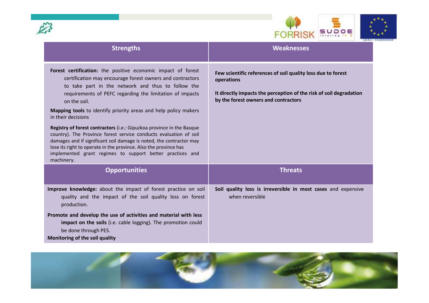



| <b>Strengths</b>                                                                                                                                                                                                                                                                                                                                                                                                                                                                                                                                                                                                                                                                                                         | <b>Weaknesses</b>                                                                                                                                                                        |
|--------------------------------------------------------------------------------------------------------------------------------------------------------------------------------------------------------------------------------------------------------------------------------------------------------------------------------------------------------------------------------------------------------------------------------------------------------------------------------------------------------------------------------------------------------------------------------------------------------------------------------------------------------------------------------------------------------------------------|------------------------------------------------------------------------------------------------------------------------------------------------------------------------------------------|
| Forest certification: the positive economic impact of forest<br>certification may encourage forest owners and contractors<br>to take part in the network and thus to follow the<br>requirements of PEFC regarding the limitation of impacts<br>on the soil.<br>Mapping tools to identify priority areas and help policy makers<br>in their decisions<br>Registry of forest contractors (i.e.: Gipuzkoa province in the Basque<br>country). The Province forest service conducts evaluation of soil<br>damages and if significant soil damage is noted, the contractor may<br>lose its right to operate in the province. Also the province has<br>implemented grant regimes to support better practices and<br>machinery. | Few scientific references of soil quality loss due to forest<br>operations<br>It directly impacts the perception of the risk of soil degradation<br>by the forest owners and contractors |
| <b>Opportunities</b>                                                                                                                                                                                                                                                                                                                                                                                                                                                                                                                                                                                                                                                                                                     | <b>Threats</b>                                                                                                                                                                           |
| Improve knowledge: about the impact of forest practice on soil<br>quality and the impact of the soil quality loss on forest<br>production.                                                                                                                                                                                                                                                                                                                                                                                                                                                                                                                                                                               | Soil quality loss is irreversible in most cases and expensive<br>when reversible                                                                                                         |
| Promote and develop the use of activities and material with less<br>impact on the soils (i.e. cable logging). The promotion could<br>be done through PES.<br>Monitoring of the soil quality                                                                                                                                                                                                                                                                                                                                                                                                                                                                                                                              |                                                                                                                                                                                          |

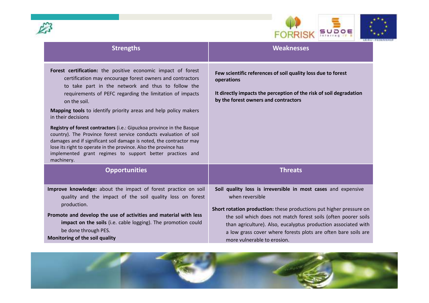



| <b>Strengths</b>                                                                                                                                                                                                                                                                                                                                                                                                                                                                                                                                                                                                                                                                                                         | <b>Weaknesses</b>                                                                                                                                                                                                                                                                                                                                                                            |
|--------------------------------------------------------------------------------------------------------------------------------------------------------------------------------------------------------------------------------------------------------------------------------------------------------------------------------------------------------------------------------------------------------------------------------------------------------------------------------------------------------------------------------------------------------------------------------------------------------------------------------------------------------------------------------------------------------------------------|----------------------------------------------------------------------------------------------------------------------------------------------------------------------------------------------------------------------------------------------------------------------------------------------------------------------------------------------------------------------------------------------|
| Forest certification: the positive economic impact of forest<br>certification may encourage forest owners and contractors<br>to take part in the network and thus to follow the<br>requirements of PEFC regarding the limitation of impacts<br>on the soil.<br>Mapping tools to identify priority areas and help policy makers<br>in their decisions<br>Registry of forest contractors (i.e.: Gipuzkoa province in the Basque<br>country). The Province forest service conducts evaluation of soil<br>damages and if significant soil damage is noted, the contractor may<br>lose its right to operate in the province. Also the province has<br>implemented grant regimes to support better practices and<br>machinery. | Few scientific references of soil quality loss due to forest<br>operations<br>It directly impacts the perception of the risk of soil degradation<br>by the forest owners and contractors                                                                                                                                                                                                     |
| <b>Opportunities</b>                                                                                                                                                                                                                                                                                                                                                                                                                                                                                                                                                                                                                                                                                                     | <b>Threats</b>                                                                                                                                                                                                                                                                                                                                                                               |
| Improve knowledge: about the impact of forest practice on soil<br>quality and the impact of the soil quality loss on forest<br>production.<br>Promote and develop the use of activities and material with less<br>impact on the soils (i.e. cable logging). The promotion could<br>be done through PES.<br>Monitoring of the soil quality                                                                                                                                                                                                                                                                                                                                                                                | Soil quality loss is irreversible in most cases and expensive<br>when reversible<br>Short rotation production: these productions put higher pressure on<br>the soil which does not match forest soils (often poorer soils<br>than agriculture). Also, eucalyptus production associated with<br>a low grass cover where forests plots are often bare soils are<br>more vulnerable to erosion. |

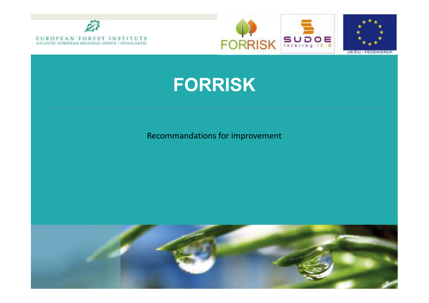





### **FORRISK**

#### Recommandations for improvement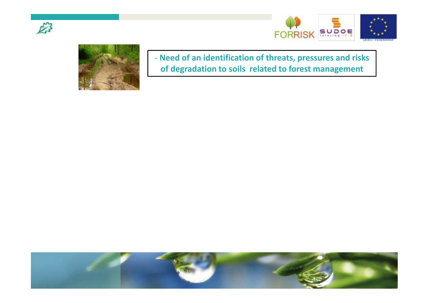





- **Need of an identification of threats, pressures and risk sof degradation to soils related to forest management**

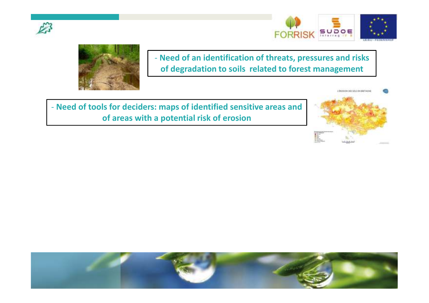





- **Need of an identification of threats, pressures and risks of degradation to soils related to forest management**

- **Need of tools for deciders: maps of identified sensitive areas and of areas with a potential risk of erosion**



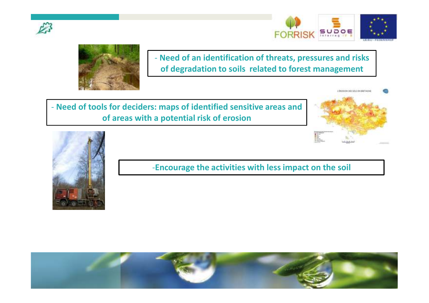





- **Need of an identification of threats, pressures and risks of degradation to soils related to forest management**

- **Need of tools for deciders: maps of identified sensitive areas and of areas with a potential risk of erosion**





-**Encourage the activities with less impact on the soil**

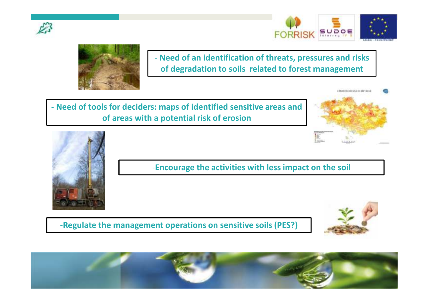





Proced of an identification of threats, pressures and risks<br>of degradation to soils related to forest management<br>of degradation to soils related to forest management<br>of areas with a potential risk of erosion<br>of areas with